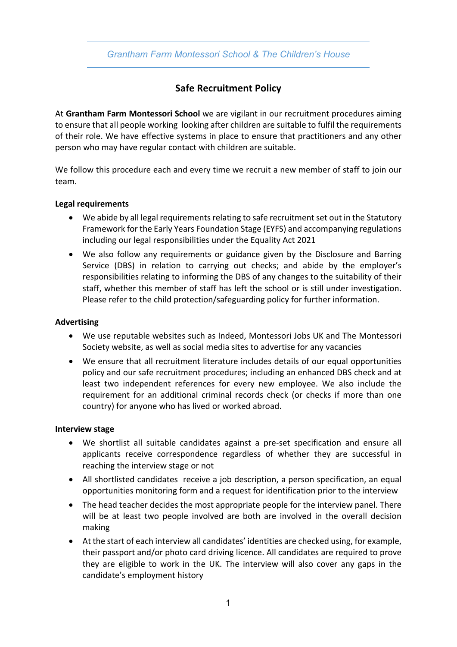## *Grantham Farm Montessori School & The Children's House*

# **Safe Recruitment Policy**

At **Grantham Farm Montessori School** we are vigilant in our recruitment procedures aiming to ensure that all people working looking after children are suitable to fulfil the requirements of their role. We have effective systems in place to ensure that practitioners and any other person who may have regular contact with children are suitable.

We follow this procedure each and every time we recruit a new member of staff to join our team.

#### **Legal requirements**

- We abide by all legal requirements relating to safe recruitment set out in the Statutory Framework for the Early Years Foundation Stage (EYFS) and accompanying regulations including our legal responsibilities under the Equality Act 2021
- We also follow any requirements or guidance given by the Disclosure and Barring Service (DBS) in relation to carrying out checks; and abide by the employer's responsibilities relating to informing the DBS of any changes to the suitability of their staff, whether this member of staff has left the school or is still under investigation. Please refer to the child protection/safeguarding policy for further information.

#### **Advertising**

- We use reputable websites such as Indeed, Montessori Jobs UK and The Montessori Society website, as well as social media sites to advertise for any vacancies
- We ensure that all recruitment literature includes details of our equal opportunities policy and our safe recruitment procedures; including an enhanced DBS check and at least two independent references for every new employee. We also include the requirement for an additional criminal records check (or checks if more than one country) for anyone who has lived or worked abroad.

#### **Interview stage**

- We shortlist all suitable candidates against a pre-set specification and ensure all applicants receive correspondence regardless of whether they are successful in reaching the interview stage or not
- All shortlisted candidates receive a job description, a person specification, an equal opportunities monitoring form and a request for identification prior to the interview
- The head teacher decides the most appropriate people for the interview panel. There will be at least two people involved are both are involved in the overall decision making
- At the start of each interview all candidates' identities are checked using, for example, their passport and/or photo card driving licence. All candidates are required to prove they are eligible to work in the UK. The interview will also cover any gaps in the candidate's employment history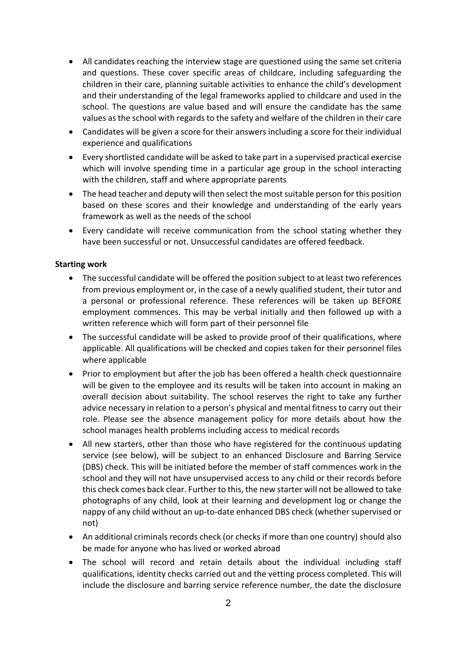- All candidates reaching the interview stage are questioned using the same set criteria and questions. These cover specific areas of childcare, including safeguarding the children in their care, planning suitable activities to enhance the child's development and their understanding of the legal frameworks applied to childcare and used in the school. The questions are value based and will ensure the candidate has the same values as the school with regards to the safety and welfare of the children in their care
- Candidates will be given a score for their answers including a score for their individual experience and qualifications
- Every shortlisted candidate will be asked to take part in a supervised practical exercise which will involve spending time in a particular age group in the school interacting with the children, staff and where appropriate parents
- The head teacher and deputy will then select the most suitable person for this position based on these scores and their knowledge and understanding of the early years framework as well as the needs of the school
- Every candidate will receive communication from the school stating whether they have been successful or not. Unsuccessful candidates are offered feedback.

### **Starting work**

- The successful candidate will be offered the position subject to at least two references from previous employment or, in the case of a newly qualified student, their tutor and a personal or professional reference. These references will be taken up BEFORE employment commences. This may be verbal initially and then followed up with a written reference which will form part of their personnel file
- The successful candidate will be asked to provide proof of their qualifications, where applicable. All qualifications will be checked and copies taken for their personnel files where applicable
- Prior to employment but after the job has been offered a health check questionnaire will be given to the employee and its results will be taken into account in making an overall decision about suitability. The school reserves the right to take any further advice necessary in relation to a person's physical and mental fitness to carry out their role. Please see the absence management policy for more details about how the school manages health problems including access to medical records
- All new starters, other than those who have registered for the continuous updating service (see below), will be subject to an enhanced Disclosure and Barring Service (DBS) check. This will be initiated before the member of staff commences work in the school and they will not have unsupervised access to any child or their records before this check comes back clear. Further to this, the new starter will not be allowed to take photographs of any child, look at their learning and development log or change the nappy of any child without an up-to-date enhanced DBS check (whether supervised or not)
- An additional criminals records check (or checks if more than one country) should also be made for anyone who has lived or worked abroad
- The school will record and retain details about the individual including staff qualifications, identity checks carried out and the vetting process completed. This will include the disclosure and barring service reference number, the date the disclosure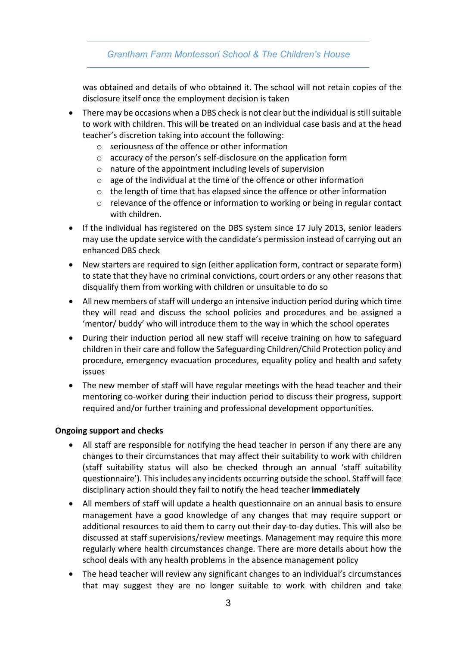## *Grantham Farm Montessori School & The Children's House*

was obtained and details of who obtained it. The school will not retain copies of the disclosure itself once the employment decision is taken

- There may be occasions when a DBS check is not clear but the individual is still suitable to work with children. This will be treated on an individual case basis and at the head teacher's discretion taking into account the following:
	- o seriousness of the offence or other information
	- o accuracy of the person's self-disclosure on the application form
	- o nature of the appointment including levels of supervision
	- o age of the individual at the time of the offence or other information
	- $\circ$  the length of time that has elapsed since the offence or other information
	- o relevance of the offence or information to working or being in regular contact with children.
- If the individual has registered on the DBS system since 17 July 2013, senior leaders may use the update service with the candidate's permission instead of carrying out an enhanced DBS check
- New starters are required to sign (either application form, contract or separate form) to state that they have no criminal convictions, court orders or any other reasons that disqualify them from working with children or unsuitable to do so
- All new members of staff will undergo an intensive induction period during which time they will read and discuss the school policies and procedures and be assigned a 'mentor/ buddy' who will introduce them to the way in which the school operates
- During their induction period all new staff will receive training on how to safeguard children in their care and follow the Safeguarding Children/Child Protection policy and procedure, emergency evacuation procedures, equality policy and health and safety issues
- The new member of staff will have regular meetings with the head teacher and their mentoring co-worker during their induction period to discuss their progress, support required and/or further training and professional development opportunities.

#### **Ongoing support and checks**

- All staff are responsible for notifying the head teacher in person if any there are any changes to their circumstances that may affect their suitability to work with children (staff suitability status will also be checked through an annual 'staff suitability questionnaire'). This includes any incidents occurring outside the school. Staff will face disciplinary action should they fail to notify the head teacher **immediately**
- All members of staff will update a health questionnaire on an annual basis to ensure management have a good knowledge of any changes that may require support or additional resources to aid them to carry out their day-to-day duties. This will also be discussed at staff supervisions/review meetings. Management may require this more regularly where health circumstances change. There are more details about how the school deals with any health problems in the absence management policy
- The head teacher will review any significant changes to an individual's circumstances that may suggest they are no longer suitable to work with children and take